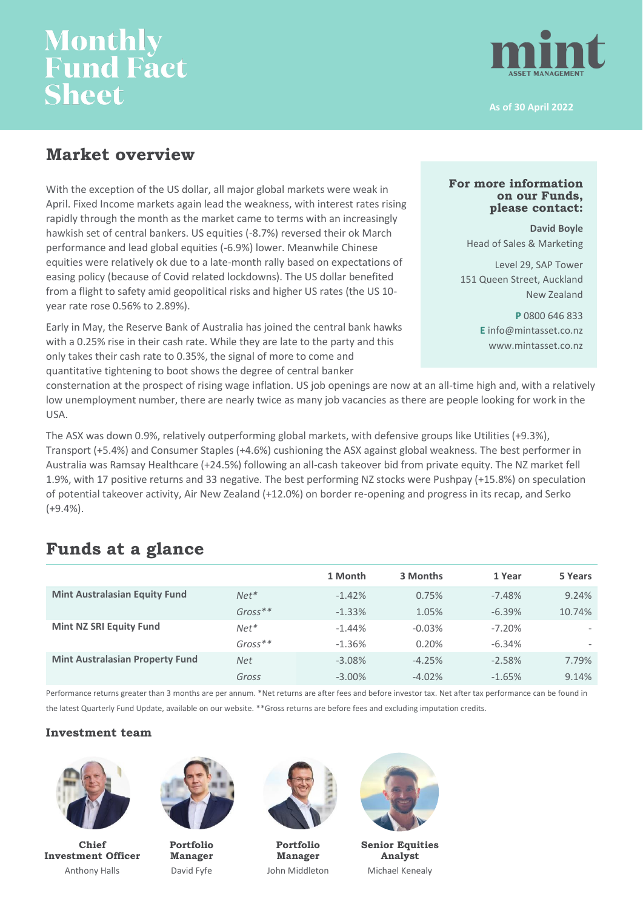# **Monthly<br>Fund Fact Sheet**



**As of 30 April 2022**

## **Market overview**

With the exception of the US dollar, all major global markets were weak in April. Fixed Income markets again lead the weakness, with interest rates rising rapidly through the month as the market came to terms with an increasingly hawkish set of central bankers. US equities (-8.7%) reversed their ok March performance and lead global equities (-6.9%) lower. Meanwhile Chinese equities were relatively ok due to a late-month rally based on expectations of easing policy (because of Covid related lockdowns). The US dollar benefited from a flight to safety amid geopolitical risks and higher US rates (the US 10 year rate rose 0.56% to 2.89%).

Early in May, the Reserve Bank of Australia has joined the central bank hawks with a 0.25% rise in their cash rate. While they are late to the party and this only takes their cash rate to 0.35%, the signal of more to come and quantitative tightening to boot shows the degree of central banker

### **For more information on our Funds, please contact:**

**David Boyle** Head of Sales & Marketing

Level 29, SAP Tower 151 Queen Street, Auckland New Zealand

> **P** 0800 646 833 **E** info@mintasset.co.nz www.mintasset.co.nz

consternation at the prospect of rising wage inflation. US job openings are now at an all-time high and, with a relatively low unemployment number, there are nearly twice as many job vacancies as there are people looking for work in the USA.

The ASX was down 0.9%, relatively outperforming global markets, with defensive groups like Utilities (+9.3%), Transport (+5.4%) and Consumer Staples (+4.6%) cushioning the ASX against global weakness. The best performer in Australia was Ramsay Healthcare (+24.5%) following an all-cash takeover bid from private equity. The NZ market fell 1.9%, with 17 positive returns and 33 negative. The best performing NZ stocks were Pushpay (+15.8%) on speculation of potential takeover activity, Air New Zealand (+12.0%) on border re-opening and progress in its recap, and Serko  $(+9.4\%)$ .

## **Funds at a glance**

|                                        |               | 1 Month   | 3 Months | 1 Year   | 5 Years                  |
|----------------------------------------|---------------|-----------|----------|----------|--------------------------|
| <b>Mint Australasian Equity Fund</b>   | $N$ $e$ $t^*$ | $-1.42%$  | 0.75%    | $-7.48%$ | 9.24%                    |
|                                        | $Gross**$     | $-1.33%$  | 1.05%    | $-6.39%$ | 10.74%                   |
| <b>Mint NZ SRI Equity Fund</b>         | $Net*$        | $-1.44\%$ | $-0.03%$ | $-7.20%$ | $\overline{\phantom{a}}$ |
|                                        | $Gross**$     | $-1.36%$  | 0.20%    | $-6.34%$ |                          |
| <b>Mint Australasian Property Fund</b> | <b>Net</b>    | $-3.08%$  | $-4.25%$ | $-2.58%$ | 7.79%                    |
|                                        | Gross         | $-3.00\%$ | $-4.02%$ | $-1.65%$ | 9.14%                    |

Performance returns greater than 3 months are per annum. \*Net returns are after fees and before investor tax. Net after tax performance can be found in the latest Quarterly Fund Update, available on our website. \*\*Gross returns are before fees and excluding imputation credits.

### **Investment team**



**Chief Investment Officer** Anthony Halls



**Portfolio Manager** David Fyfe



**Portfolio Manager** John Middleton



**Senior Equities Analyst** Michael Kenealy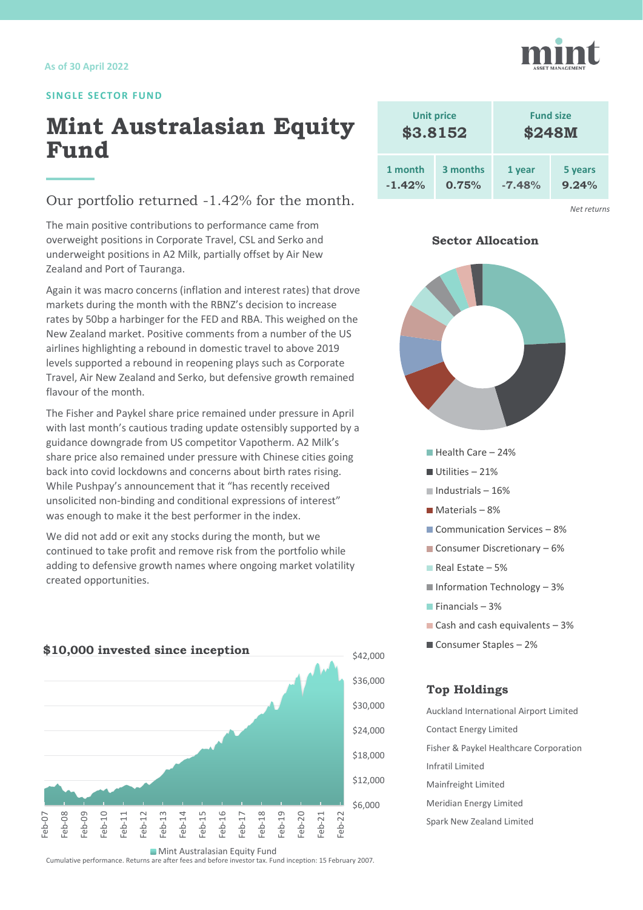### **SINGLE SECTOR FUND**

## **Mint Australasian Equity Fund**

### Our portfolio returned -1.42% for the month.

The main positive contributions to performance came from overweight positions in Corporate Travel, CSL and Serko and underweight positions in A2 Milk, partially offset by Air New Zealand and Port of Tauranga.

Again it was macro concerns (inflation and interest rates) that drove markets during the month with the RBNZ's decision to increase rates by 50bp a harbinger for the FED and RBA. This weighed on the New Zealand market. Positive comments from a number of the US airlines highlighting a rebound in domestic travel to above 2019 levels supported a rebound in reopening plays such as Corporate Travel, Air New Zealand and Serko, but defensive growth remained flavour of the month.

The Fisher and Paykel share price remained under pressure in April with last month's cautious trading update ostensibly supported by a guidance downgrade from US competitor Vapotherm. A2 Milk's share price also remained under pressure with Chinese cities going back into covid lockdowns and concerns about birth rates rising. While Pushpay's announcement that it "has recently received unsolicited non-binding and conditional expressions of interest" was enough to make it the best performer in the index.

We did not add or exit any stocks during the month, but we continued to take profit and remove risk from the portfolio while adding to defensive growth names where ongoing market volatility created opportunities.



Cumulative performance. Returns are after fees and before investor tax. Fund inception: 15 February 2007. **Mint Australasian Equity Fund** 





*Net returns*

### **Sector Allocation**



- Communication Services 8%
- Consumer Discretionary  $-6\%$
- Real Estate  $-5%$
- $\blacksquare$  Information Technology 3%
- $F$ inancials 3%
- Cash and cash equivalents  $-3%$
- Consumer Staples 2%

### **Top Holdings**

Auckland International Airport Limited Contact Energy Limited Fisher & Paykel Healthcare Corporation Infratil Limited Mainfreight Limited Meridian Energy Limited Spark New Zealand Limited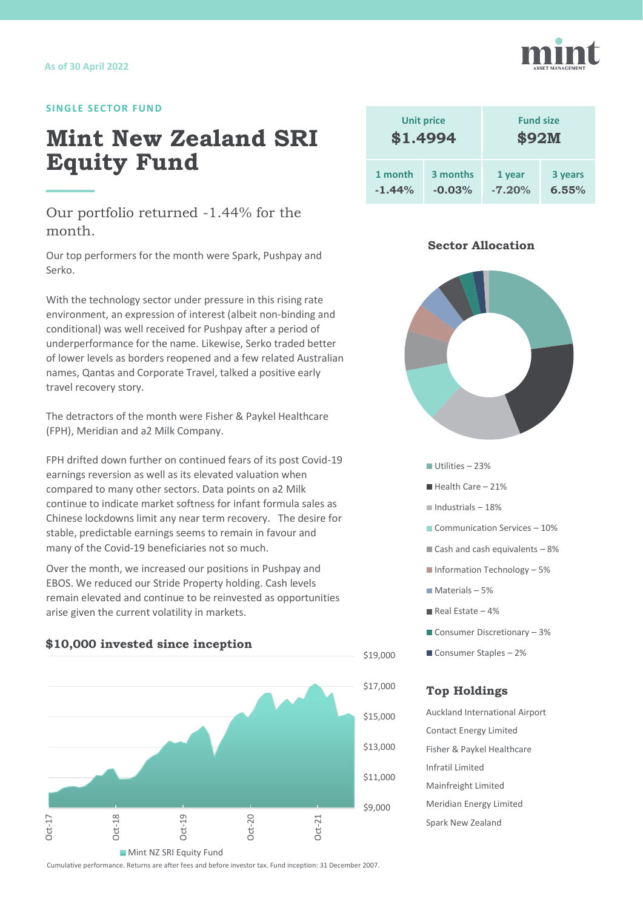### **SINGLE SECTOR FUND**

## **Mint New Zealand SRI Equity Fund**

Our portfolio returned -1.44% for the month.

Our top performers for the month were Spark, Pushpay and Serko.

With the technology sector under pressure in this rising rate environment, an expression of interest (albeit non-binding and conditional) was well received for Pushpay after a period of underperformance for the name. Likewise, Serko traded better of lower levels as borders reopened and a few related Australian names, Qantas and Corporate Travel, talked a positive early travel recovery story.

The detractors of the month were Fisher & Paykel Healthcare (FPH), Meridian and a2 Milk Company.

FPH drifted down further on continued fears of its post Covid-19 earnings reversion as well as its elevated valuation when compared to many other sectors. Data points on a2 Milk continue to indicate market softness for infant formula sales as Chinese lockdowns limit any near term recovery. The desire for stable, predictable earnings seems to remain in favour and many of the Covid-19 beneficiaries not so much.

Over the month, we increased our positions in Pushpay and EBOS. We reduced our Stride Property holding. Cash levels remain elevated and continue to be reinvested as opportunities arise given the current volatility in markets.



### **\$10,000 invested since inception**

| <b>Unit price</b> |          | <b>Fund size</b> |         |  |
|-------------------|----------|------------------|---------|--|
| \$1.4994          |          | \$92M            |         |  |
| 1 month           | 3 months | 1 year           | 3 years |  |
| $-1.44%$          | $-0.03%$ | $-7.20%$         | 6.55%   |  |

### **Sector Allocation**



- Utilities 23%
- $H$  Health Care 21%
- $\blacksquare$ Industrials 18%
- Communication Services 10%
- $\blacksquare$  Cash and cash equivalents  $-8\%$
- Information Technology 5%
- $Materals 5%$
- $\blacksquare$  Real Estate 4%
- Consumer Discretionary 3%
- Consumer Staples 2%

### **Top Holdings**

Auckland International Airport Contact Energy Limited Fisher & Paykel Healthcare Infratil Limited Mainfreight Limited Meridian Energy Limited Spark New Zealand



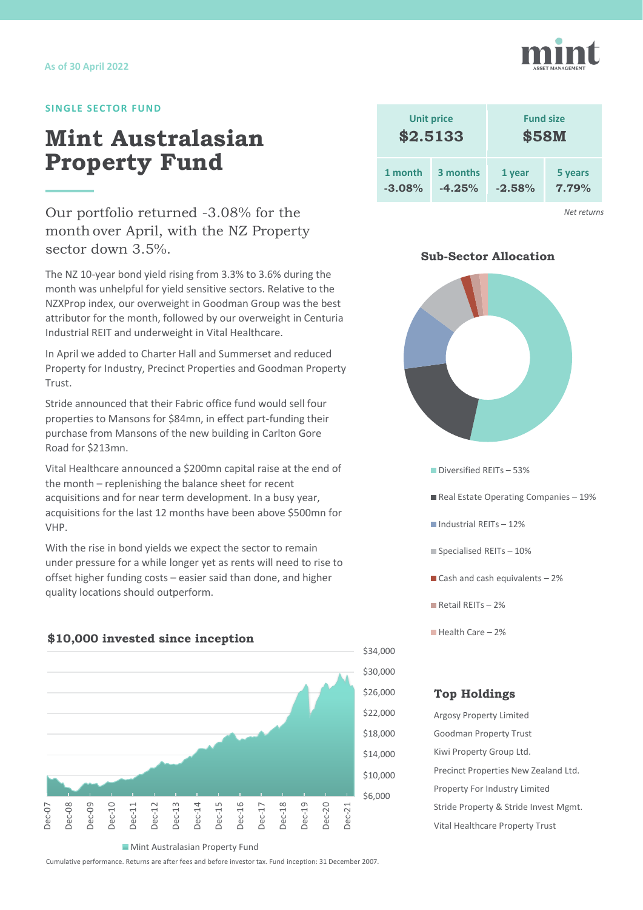### **SINGLE SECTOR FUND**

## **Mint Australasian Property Fund**

Our portfolio returned -3.08% for the month over April, with the NZ Property sector down 3.5%.

The NZ 10-year bond yield rising from 3.3% to 3.6% during the month was unhelpful for yield sensitive sectors. Relative to the NZXProp index, our overweight in Goodman Group was the best attributor for the month, followed by our overweight in Centuria Industrial REIT and underweight in Vital Healthcare.

In April we added to Charter Hall and Summerset and reduced Property for Industry, Precinct Properties and Goodman Property Trust.

Stride announced that their Fabric office fund would sell four properties to Mansons for \$84mn, in effect part-funding their purchase from Mansons of the new building in Carlton Gore Road for \$213mn.

Vital Healthcare announced a \$200mn capital raise at the end of the month – replenishing the balance sheet for recent acquisitions and for near term development. In a busy year, acquisitions for the last 12 months have been above \$500mn for VHP.

With the rise in bond yields we expect the sector to remain under pressure for a while longer yet as rents will need to rise to offset higher funding costs – easier said than done, and higher quality locations should outperform.



**Mint Australasian Property Fund** 

Cumulative performance. Returns are after fees and before investor tax. Fund inception: 31 December 2007.



*Net returns*

### **Sub-Sector Allocation**



- Diversified REITs 53%
- Real Estate Operating Companies 19%
- $\blacksquare$  Industrial REITs 12%
- $\blacksquare$  Specialised REITs 10%
- Cash and cash equivalents  $-2\%$
- Retail RFITs 2%
- $H$ ealth Care 2%

### **Top Holdings**

Argosy Property Limited Goodman Property Trust Kiwi Property Group Ltd. Precinct Properties New Zealand Ltd. Property For Industry Limited Stride Property & Stride Invest Mgmt. Vital Healthcare Property Trust